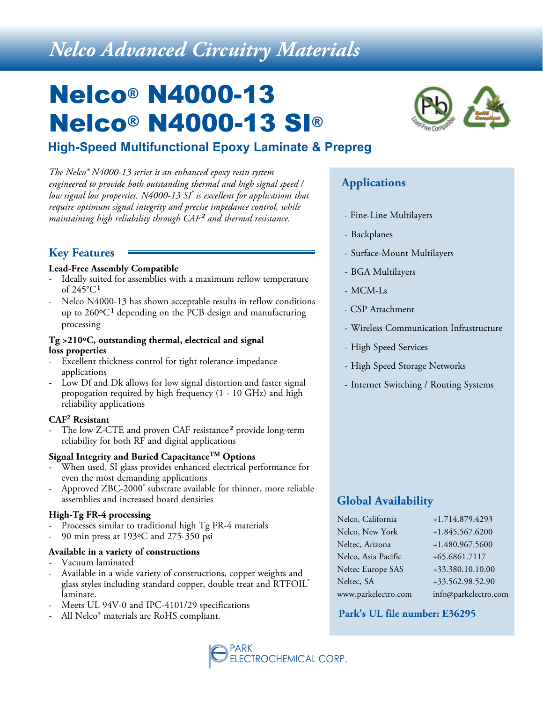# *Nelco Advanced Circuitry Materials*

# Nelco® N4000-13 Nelco® N4000-13 SI®

## **High-Speed Multifunctional Epoxy Laminate & Prepreg**

*The Nelco® N4000-13 series is an enhanced epoxy resin system engineered to provide both outstanding thermal and high signal speed / low signal loss properties. N4000-13 SI® is excellent for applications that require optimum signal integrity and precise impedance control, while maintaining high reliability through CAF2 and thermal resistance.*

### **Key Features**

#### **Lead-Free Assembly Compatible**

- Ideally suited for assemblies with a maximum reflow temperature of 245°C**<sup>1</sup>**
- Nelco N4000-13 has shown acceptable results in reflow conditions up to 260ºC**1** depending on the PCB design and manufacturing processing

#### **Tg >210ºC, outstanding thermal, electrical and signal loss properties**

- Excellent thickness control for tight tolerance impedance applications
- Low Df and Dk allows for low signal distortion and faster signal propogation required by high frequency (1 - 10 GHz) and high reliability applications

#### **CAF2 Resistant**

The low Z-CTE and proven CAF resistance<sup>2</sup> provide long-term reliability for both RF and digital applications

#### **Signal Integrity and Buried CapacitanceTM Options**

- When used, SI glass provides enhanced electrical performance for even the most demanding applications
- Approved ZBC-2000<sup>®</sup> substrate available for thinner, more reliable assemblies and increased board densities

#### **High-Tg FR-4 processing**

- Processes similar to traditional high Tg FR-4 materials
- 90 min press at 193°C and 275-350 psi

#### **Available in a variety of constructions**

- Vacuum laminated
- Available in a wide variety of constructions, copper weights and glass styles including standard copper, double treat and RTFOIL® laminate.
- Meets UL 94V-0 and IPC-4101/29 specifications
- All Nelco<sup>®</sup> materials are RoHS compliant.



## **Applications**

- Fine-Line Multilayers
- Backplanes
- Surface-Mount Multilayers
- BGA Multilayers
- MCM-Ls
- CSP Attachment
- Wireless Communication Infrastructure
- High Speed Services
- High Speed Storage Networks
- Internet Switching / Routing Systems

## **Global Availability**

| Nelco, California   | +1.714.879.4293      |
|---------------------|----------------------|
| Nelco, New York     | +1.845.567.6200      |
| Neltec, Arizona     | +1.480.967.5600      |
| Nelco, Asia Pacific | +65.6861.7117        |
| Neltec Europe SAS   | +33.380.10.10.00     |
| Neltec, SA          | +33.562.98.52.90     |
| www.parkelectro.com | info@parkelectro.com |

#### **Park's UL file number: E36295**

**TROCHEMICAL CORP.**